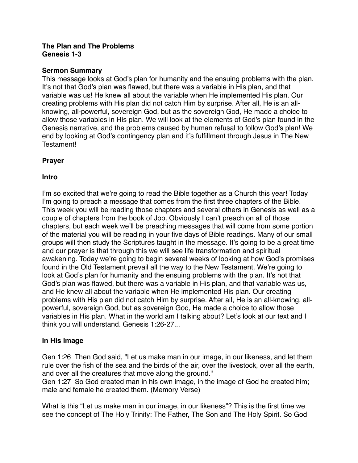#### **The Plan and The Problems Genesis 1-3**

#### **Sermon Summary**

This message looks at God's plan for humanity and the ensuing problems with the plan. It's not that God's plan was flawed, but there was a variable in His plan, and that variable was us! He knew all about the variable when He implemented His plan. Our creating problems with His plan did not catch Him by surprise. After all, He is an allknowing, all-powerful, sovereign God, but as the sovereign God, He made a choice to allow those variables in His plan. We will look at the elements of God's plan found in the Genesis narrative, and the problems caused by human refusal to follow God's plan! We end by looking at God's contingency plan and it's fulfillment through Jesus in The New Testament!

## **Prayer**

#### **Intro**

I'm so excited that we're going to read the Bible together as a Church this year! Today I'm going to preach a message that comes from the first three chapters of the Bible. This week you will be reading those chapters and several others in Genesis as well as a couple of chapters from the book of Job. Obviously I can't preach on all of those chapters, but each week we'll be preaching messages that will come from some portion of the material you will be reading in your five days of Bible readings. Many of our small groups will then study the Scriptures taught in the message. It's going to be a great time and our prayer is that through this we will see life transformation and spiritual awakening. Today we're going to begin several weeks of looking at how God's promises found in the Old Testament prevail all the way to the New Testament. We're going to look at God's plan for humanity and the ensuing problems with the plan. It's not that God's plan was flawed, but there was a variable in His plan, and that variable was us, and He knew all about the variable when He implemented His plan. Our creating problems with His plan did not catch Him by surprise. After all, He is an all-knowing, allpowerful, sovereign God, but as sovereign God, He made a choice to allow those variables in His plan. What in the world am I talking about? Let's look at our text and I think you will understand. Genesis 1:26-27...

#### **In His Image**

Gen 1:26 Then God said, "Let us make man in our image, in our likeness, and let them rule over the fish of the sea and the birds of the air, over the livestock, over all the earth, and over all the creatures that move along the ground."

Gen 1:27 So God created man in his own image, in the image of God he created him; male and female he created them. (Memory Verse)

What is this "Let us make man in our image, in our likeness"? This is the first time we see the concept of The Holy Trinity: The Father, The Son and The Holy Spirit. So God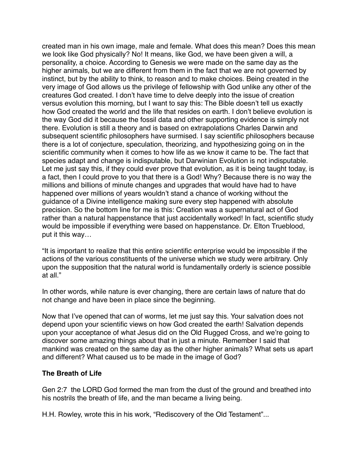created man in his own image, male and female. What does this mean? Does this mean we look like God physically? No! It means, like God, we have been given a will, a personality, a choice. According to Genesis we were made on the same day as the higher animals, but we are different from them in the fact that we are not governed by instinct, but by the ability to think, to reason and to make choices. Being created in the very image of God allows us the privilege of fellowship with God unlike any other of the creatures God created. I don't have time to delve deeply into the issue of creation versus evolution this morning, but I want to say this: The Bible doesn't tell us exactly how God created the world and the life that resides on earth. I don't believe evolution is the way God did it because the fossil data and other supporting evidence is simply not there. Evolution is still a theory and is based on extrapolations Charles Darwin and subsequent scientific philosophers have surmised. I say scientific philosophers because there is a lot of conjecture, speculation, theorizing, and hypothesizing going on in the scientific community when it comes to how life as we know it came to be. The fact that species adapt and change is indisputable, but Darwinian Evolution is not indisputable. Let me just say this, if they could ever prove that evolution, as it is being taught today, is a fact, then I could prove to you that there is a God! Why? Because there is no way the millions and billions of minute changes and upgrades that would have had to have happened over millions of years wouldn't stand a chance of working without the guidance of a Divine intelligence making sure every step happened with absolute precision. So the bottom line for me is this: Creation was a supernatural act of God rather than a natural happenstance that just accidentally worked! In fact, scientific study would be impossible if everything were based on happenstance. Dr. Elton Trueblood, put it this way…

"It is important to realize that this entire scientific enterprise would be impossible if the actions of the various constituents of the universe which we study were arbitrary. Only upon the supposition that the natural world is fundamentally orderly is science possible at all."

In other words, while nature is ever changing, there are certain laws of nature that do not change and have been in place since the beginning.

Now that I've opened that can of worms, let me just say this. Your salvation does not depend upon your scientific views on how God created the earth! Salvation depends upon your acceptance of what Jesus did on the Old Rugged Cross, and we're going to discover some amazing things about that in just a minute. Remember I said that mankind was created on the same day as the other higher animals? What sets us apart and different? What caused us to be made in the image of God?

#### **The Breath of Life**

Gen 2:7 the LORD God formed the man from the dust of the ground and breathed into his nostrils the breath of life, and the man became a living being.

H.H. Rowley, wrote this in his work, "Rediscovery of the Old Testament"...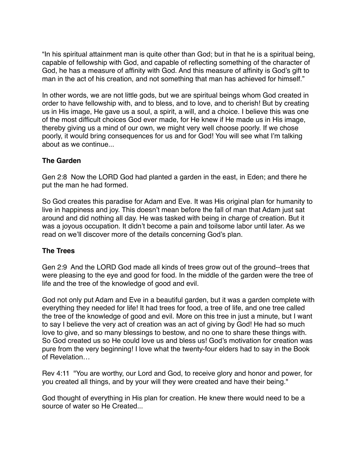"In his spiritual attainment man is quite other than God; but in that he is a spiritual being, capable of fellowship with God, and capable of reflecting something of the character of God, he has a measure of affinity with God. And this measure of affinity is God's gift to man in the act of his creation, and not something that man has achieved for himself."

In other words, we are not little gods, but we are spiritual beings whom God created in order to have fellowship with, and to bless, and to love, and to cherish! But by creating us in His image, He gave us a soul, a spirit, a will, and a choice. I believe this was one of the most difficult choices God ever made, for He knew if He made us in His image, thereby giving us a mind of our own, we might very well choose poorly. If we chose poorly, it would bring consequences for us and for God! You will see what I'm talking about as we continue...

#### **The Garden**

Gen 2:8 Now the LORD God had planted a garden in the east, in Eden; and there he put the man he had formed.

So God creates this paradise for Adam and Eve. It was His original plan for humanity to live in happiness and joy. This doesn't mean before the fall of man that Adam just sat around and did nothing all day. He was tasked with being in charge of creation. But it was a joyous occupation. It didn't become a pain and toilsome labor until later. As we read on we'll discover more of the details concerning God's plan.

## **The Trees**

Gen 2:9 And the LORD God made all kinds of trees grow out of the ground--trees that were pleasing to the eye and good for food. In the middle of the garden were the tree of life and the tree of the knowledge of good and evil.

God not only put Adam and Eve in a beautiful garden, but it was a garden complete with everything they needed for life! It had trees for food, a tree of life, and one tree called the tree of the knowledge of good and evil. More on this tree in just a minute, but I want to say I believe the very act of creation was an act of giving by God! He had so much love to give, and so many blessings to bestow, and no one to share these things with. So God created us so He could love us and bless us! God's motivation for creation was pure from the very beginning! I love what the twenty-four elders had to say in the Book of Revelation…

Rev 4:11 "You are worthy, our Lord and God, to receive glory and honor and power, for you created all things, and by your will they were created and have their being."

God thought of everything in His plan for creation. He knew there would need to be a source of water so He Created...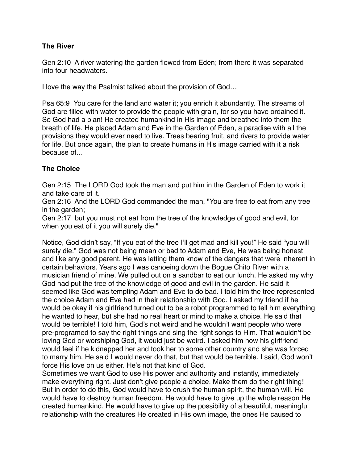#### **The River**

Gen 2:10 A river watering the garden flowed from Eden; from there it was separated into four headwaters.

I love the way the Psalmist talked about the provision of God…

Psa 65:9 You care for the land and water it; you enrich it abundantly. The streams of God are filled with water to provide the people with grain, for so you have ordained it. So God had a plan! He created humankind in His image and breathed into them the breath of life. He placed Adam and Eve in the Garden of Eden, a paradise with all the provisions they would ever need to live. Trees bearing fruit, and rivers to provide water for life. But once again, the plan to create humans in His image carried with it a risk because of

## **The Choice**

Gen 2:15 The LORD God took the man and put him in the Garden of Eden to work it and take care of it.

Gen 2:16 And the LORD God commanded the man, "You are free to eat from any tree in the garden;

Gen 2:17 but you must not eat from the tree of the knowledge of good and evil, for when you eat of it you will surely die."

Notice, God didn't say, "If you eat of the tree I'll get mad and kill you!" He said "you will surely die." God was not being mean or bad to Adam and Eve, He was being honest and like any good parent, He was letting them know of the dangers that were inherent in certain behaviors. Years ago I was canoeing down the Bogue Chito River with a musician friend of mine. We pulled out on a sandbar to eat our lunch. He asked my why God had put the tree of the knowledge of good and evil in the garden. He said it seemed like God was tempting Adam and Eve to do bad. I told him the tree represented the choice Adam and Eve had in their relationship with God. I asked my friend if he would be okay if his girlfriend turned out to be a robot programmed to tell him everything he wanted to hear, but she had no real heart or mind to make a choice. He said that would be terrible! I told him, God's not weird and he wouldn't want people who were pre-programed to say the right things and sing the right songs to Him. That wouldn't be loving God or worshiping God, it would just be weird. I asked him how his girlfriend would feel if he kidnapped her and took her to some other country and she was forced to marry him. He said I would never do that, but that would be terrible. I said, God won't force His love on us either. He's not that kind of God.

Sometimes we want God to use His power and authority and instantly, immediately make everything right. Just don't give people a choice. Make them do the right thing! But in order to do this, God would have to crush the human spirit, the human will. He would have to destroy human freedom. He would have to give up the whole reason He created humankind. He would have to give up the possibility of a beautiful, meaningful relationship with the creatures He created in His own image, the ones He caused to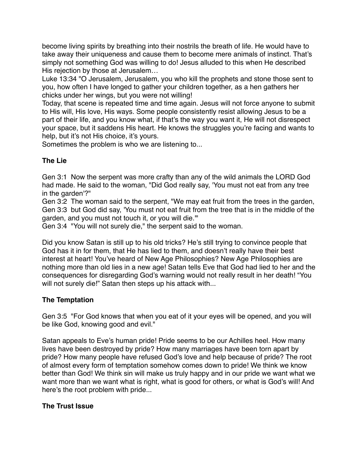become living spirits by breathing into their nostrils the breath of life. He would have to take away their uniqueness and cause them to become mere animals of instinct. That's simply not something God was willing to do! Jesus alluded to this when He described His rejection by those at Jerusalem…

Luke 13:34 "O Jerusalem, Jerusalem, you who kill the prophets and stone those sent to you, how often I have longed to gather your children together, as a hen gathers her chicks under her wings, but you were not willing!

Today, that scene is repeated time and time again. Jesus will not force anyone to submit to His will, His love, His ways. Some people consistently resist allowing Jesus to be a part of their life, and you know what, if that's the way you want it, He will not disrespect your space, but it saddens His heart. He knows the struggles you're facing and wants to help, but it's not His choice, it's yours.

Sometimes the problem is who we are listening to...

## **The Lie**

Gen 3:1 Now the serpent was more crafty than any of the wild animals the LORD God had made. He said to the woman, "Did God really say, 'You must not eat from any tree in the garden'?"

Gen 3:2 The woman said to the serpent, "We may eat fruit from the trees in the garden, Gen 3:3 but God did say, 'You must not eat fruit from the tree that is in the middle of the garden, and you must not touch it, or you will die.'"

Gen 3:4 "You will not surely die," the serpent said to the woman.

Did you know Satan is still up to his old tricks? He's still trying to convince people that God has it in for them, that He has lied to them, and doesn't really have their best interest at heart! You've heard of New Age Philosophies? New Age Philosophies are nothing more than old lies in a new age! Satan tells Eve that God had lied to her and the consequences for disregarding God's warning would not really result in her death! "You will not surely die!" Satan then steps up his attack with...

## **The Temptation**

Gen 3:5 "For God knows that when you eat of it your eyes will be opened, and you will be like God, knowing good and evil."

Satan appeals to Eve's human pride! Pride seems to be our Achilles heel. How many lives have been destroyed by pride? How many marriages have been torn apart by pride? How many people have refused God's love and help because of pride? The root of almost every form of temptation somehow comes down to pride! We think we know better than God! We think sin will make us truly happy and in our pride we want what we want more than we want what is right, what is good for others, or what is God's will! And here's the root problem with pride...

## **The Trust Issue**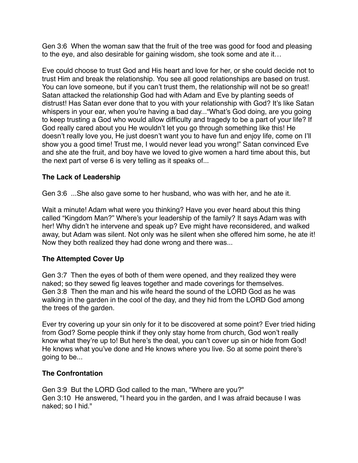Gen 3:6 When the woman saw that the fruit of the tree was good for food and pleasing to the eye, and also desirable for gaining wisdom, she took some and ate it…

Eve could choose to trust God and His heart and love for her, or she could decide not to trust Him and break the relationship. You see all good relationships are based on trust. You can love someone, but if you can't trust them, the relationship will not be so great! Satan attacked the relationship God had with Adam and Eve by planting seeds of distrust! Has Satan ever done that to you with your relationship with God? It's like Satan whispers in your ear, when you're having a bad day..."What's God doing, are you going to keep trusting a God who would allow difficulty and tragedy to be a part of your life? If God really cared about you He wouldn't let you go through something like this! He doesn't really love you, He just doesn't want you to have fun and enjoy life, come on I'll show you a good time! Trust me, I would never lead you wrong!" Satan convinced Eve and she ate the fruit, and boy have we loved to give women a hard time about this, but the next part of verse 6 is very telling as it speaks of...

# **The Lack of Leadership**

Gen 3:6 ...She also gave some to her husband, who was with her, and he ate it.

Wait a minute! Adam what were you thinking? Have you ever heard about this thing called "Kingdom Man?" Where's your leadership of the family? It says Adam was with her! Why didn't he intervene and speak up? Eve might have reconsidered, and walked away, but Adam was silent. Not only was he silent when she offered him some, he ate it! Now they both realized they had done wrong and there was...

## **The Attempted Cover Up**

Gen 3:7 Then the eyes of both of them were opened, and they realized they were naked; so they sewed fig leaves together and made coverings for themselves. Gen 3:8 Then the man and his wife heard the sound of the LORD God as he was walking in the garden in the cool of the day, and they hid from the LORD God among the trees of the garden.

Ever try covering up your sin only for it to be discovered at some point? Ever tried hiding from God? Some people think if they only stay home from church, God won't really know what they're up to! But here's the deal, you can't cover up sin or hide from God! He knows what you've done and He knows where you live. So at some point there's going to be...

## **The Confrontation**

Gen 3:9 But the LORD God called to the man, "Where are you?" Gen 3:10 He answered, "I heard you in the garden, and I was afraid because I was naked; so I hid."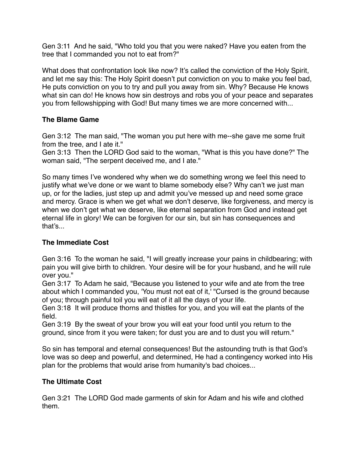Gen 3:11 And he said, "Who told you that you were naked? Have you eaten from the tree that I commanded you not to eat from?"

What does that confrontation look like now? It's called the conviction of the Holy Spirit, and let me say this: The Holy Spirit doesn't put conviction on you to make you feel bad, He puts conviction on you to try and pull you away from sin. Why? Because He knows what sin can do! He knows how sin destroys and robs you of your peace and separates you from fellowshipping with God! But many times we are more concerned with...

# **The Blame Game**

Gen 3:12 The man said, "The woman you put here with me--she gave me some fruit from the tree, and I ate it."

Gen 3:13 Then the LORD God said to the woman, "What is this you have done?" The woman said, "The serpent deceived me, and I ate."

So many times I've wondered why when we do something wrong we feel this need to justify what we've done or we want to blame somebody else? Why can't we just man up, or for the ladies, just step up and admit you've messed up and need some grace and mercy. Grace is when we get what we don't deserve, like forgiveness, and mercy is when we don't get what we deserve, like eternal separation from God and instead get eternal life in glory! We can be forgiven for our sin, but sin has consequences and that's...

# **The Immediate Cost**

Gen 3:16 To the woman he said, "I will greatly increase your pains in childbearing; with pain you will give birth to children. Your desire will be for your husband, and he will rule over you."

Gen 3:17 To Adam he said, "Because you listened to your wife and ate from the tree about which I commanded you, 'You must not eat of it,' "Cursed is the ground because of you; through painful toil you will eat of it all the days of your life.

Gen 3:18 It will produce thorns and thistles for you, and you will eat the plants of the field.

Gen 3:19 By the sweat of your brow you will eat your food until you return to the ground, since from it you were taken; for dust you are and to dust you will return."

So sin has temporal and eternal consequences! But the astounding truth is that God's love was so deep and powerful, and determined, He had a contingency worked into His plan for the problems that would arise from humanity's bad choices...

# **The Ultimate Cost**

Gen 3:21 The LORD God made garments of skin for Adam and his wife and clothed them.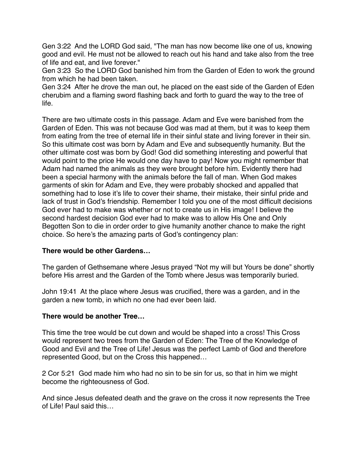Gen 3:22 And the LORD God said, "The man has now become like one of us, knowing good and evil. He must not be allowed to reach out his hand and take also from the tree of life and eat, and live forever."

Gen 3:23 So the LORD God banished him from the Garden of Eden to work the ground from which he had been taken.

Gen 3:24 After he drove the man out, he placed on the east side of the Garden of Eden cherubim and a flaming sword flashing back and forth to guard the way to the tree of life.

There are two ultimate costs in this passage. Adam and Eve were banished from the Garden of Eden. This was not because God was mad at them, but it was to keep them from eating from the tree of eternal life in their sinful state and living forever in their sin. So this ultimate cost was born by Adam and Eve and subsequently humanity. But the other ultimate cost was born by God! God did something interesting and powerful that would point to the price He would one day have to pay! Now you might remember that Adam had named the animals as they were brought before him. Evidently there had been a special harmony with the animals before the fall of man. When God makes garments of skin for Adam and Eve, they were probably shocked and appalled that something had to lose it's life to cover their shame, their mistake, their sinful pride and lack of trust in God's friendship. Remember I told you one of the most difficult decisions God ever had to make was whether or not to create us in His image! I believe the second hardest decision God ever had to make was to allow His One and Only Begotten Son to die in order order to give humanity another chance to make the right choice. So here's the amazing parts of God's contingency plan:

## **There would be other Gardens…**

The garden of Gethsemane where Jesus prayed "Not my will but Yours be done" shortly before His arrest and the Garden of the Tomb where Jesus was temporarily buried.

John 19:41 At the place where Jesus was crucified, there was a garden, and in the garden a new tomb, in which no one had ever been laid.

#### **There would be another Tree…**

This time the tree would be cut down and would be shaped into a cross! This Cross would represent two trees from the Garden of Eden: The Tree of the Knowledge of Good and Evil and the Tree of Life! Jesus was the perfect Lamb of God and therefore represented Good, but on the Cross this happened…

2 Cor 5:21 God made him who had no sin to be sin for us, so that in him we might become the righteousness of God.

And since Jesus defeated death and the grave on the cross it now represents the Tree of Life! Paul said this…